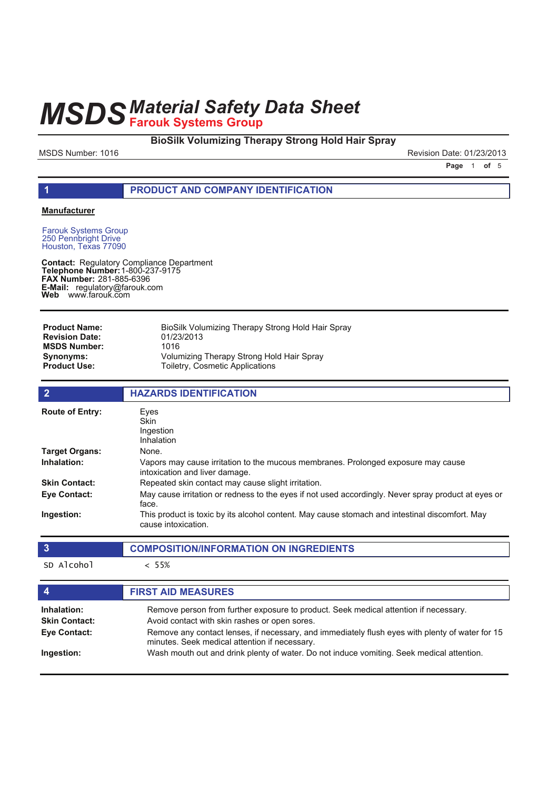**BioSilk Volumizing Therapy Strong Hold Hair Spray**

MSDS Number: 1016 **Revision Date: 01/23/2013** Revision Date: 01/23/2013

**Page 1 of 5** 

# **1 PRODUCT AND COMPANY IDENTIFICATION**

### **Manufacturer**

Farouk Systems Group 250 Pennbright Drive Houston, Texas 77090

**Contact: Telephone Number: FAX Number:** 281-885-6396 **E-Mail: Web** Regulatory Compliance Department 1-800-237-9175 regulatory@farouk.com www.farouk.com

| <b>Product Name:</b>  | BioSilk Volumizing Therapy Strong Hold Hair Spray |
|-----------------------|---------------------------------------------------|
| <b>Revision Date:</b> | 01/23/2013                                        |
| <b>MSDS Number:</b>   | 1016                                              |
| Synonyms:             | Volumizing Therapy Strong Hold Hair Spray         |
| <b>Product Use:</b>   | Toiletry, Cosmetic Applications                   |

| $\overline{2}$                      | <b>HAZARDS IDENTIFICATION</b>                                                                                                                    |
|-------------------------------------|--------------------------------------------------------------------------------------------------------------------------------------------------|
| <b>Route of Entry:</b>              | Eyes<br><b>Skin</b><br>Ingestion<br>Inhalation                                                                                                   |
| <b>Target Organs:</b>               | None.                                                                                                                                            |
| Inhalation:                         | Vapors may cause irritation to the mucous membranes. Prolonged exposure may cause<br>intoxication and liver damage.                              |
| <b>Skin Contact:</b>                | Repeated skin contact may cause slight irritation.                                                                                               |
| <b>Eye Contact:</b>                 | May cause irritation or redness to the eyes if not used accordingly. Never spray product at eyes or<br>face.                                     |
| Ingestion:                          | This product is toxic by its alcohol content. May cause stomach and intestinal discomfort. May<br>cause intoxication.                            |
| $\overline{3}$                      | <b>COMPOSITION/INFORMATION ON INGREDIENTS</b>                                                                                                    |
| SD Alcohol                          | $< 55\%$                                                                                                                                         |
| $\boldsymbol{4}$                    | <b>FIRST AID MEASURES</b>                                                                                                                        |
| Inhalation:<br><b>Skin Contact:</b> | Remove person from further exposure to product. Seek medical attention if necessary.<br>Avoid contact with skin rashes or open sores.            |
| <b>Eye Contact:</b>                 | Remove any contact lenses, if necessary, and immediately flush eyes with plenty of water for 15<br>minutes. Seek medical attention if necessary. |
| Ingestion:                          | Wash mouth out and drink plenty of water. Do not induce vomiting. Seek medical attention.                                                        |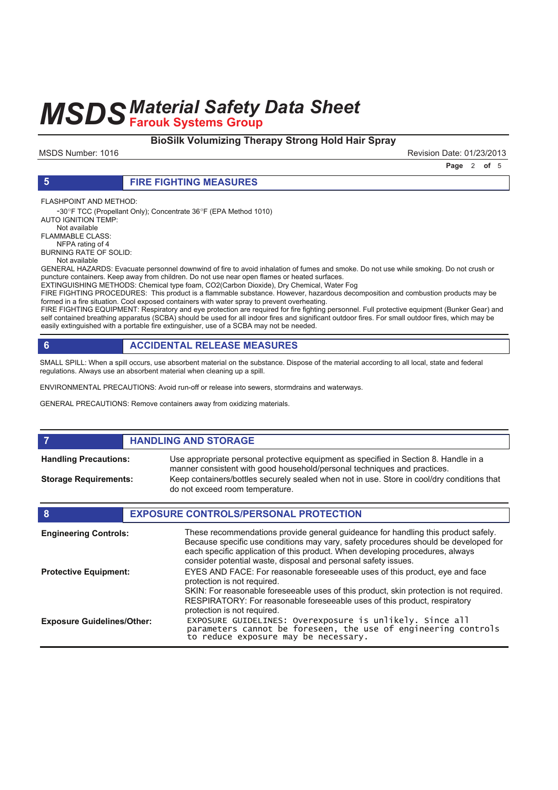# **BioSilk Volumizing Therapy Strong Hold Hair Spray**

MSDS Number: 1016 Revision Date: 01/23/2013

**Page 2 of 5** 

### **5 FIRE FIGHTING MEASURES**

FLASHPOINT AND METHOD:

-30°F TCC (Propellant Only); Concentrate 36°F (EPA Method 1010) AUTO IGNITION TEMP: Not available

FLAMMABLE CLASS:

 NFPA rating of 4 BURNING RATE OF SOLID:

Not available

GENERAL HAZARDS: Evacuate personnel downwind of fire to avoid inhalation of fumes and smoke. Do not use while smoking. Do not crush or puncture containers. Keep away from children. Do not use near open flames or heated surfaces.

EXTINGUISHING METHODS: Chemical type foam, CO2(Carbon Dioxide), Dry Chemical, Water Fog

FIRE FIGHTING PROCEDURES: This product is a flammable substance. However, hazardous decomposition and combustion products may be formed in a fire situation. Cool exposed containers with water spray to prevent overheating.

FIRE FIGHTING EQUIPMENT: Respiratory and eye protection are required for fire fighting personnel. Full protective equipment (Bunker Gear) and self contained breathing apparatus (SCBA) should be used for all indoor fires and significant outdoor fires. For small outdoor fires, which may be easily extinguished with a portable fire extinguisher, use of a SCBA may not be needed.

# **6 ACCIDENTAL RELEASE MEASURES**

SMALL SPILL: When a spill occurs, use absorbent material on the substance. Dispose of the material according to all local, state and federal regulations. Always use an absorbent material when cleaning up a spill.

ENVIRONMENTAL PRECAUTIONS: Avoid run-off or release into sewers, stormdrains and waterways.

GENERAL PRECAUTIONS: Remove containers away from oxidizing materials.

#### **FIGURE 12 IN STORAGE** Use appropriate personal protective equipment as specified in Section 8. Handle in a manner consistent with good household/personal techniques and practices. **Handling Precautions:** Keep containers/bottles securely sealed when not in use. Store in cool/dry conditions that do not exceed room temperature. **Storage Requirements:**

| 8                                 | <b>EXPOSURE CONTROLS/PERSONAL PROTECTION</b>                                                                                                                                                                                                                                                                                |
|-----------------------------------|-----------------------------------------------------------------------------------------------------------------------------------------------------------------------------------------------------------------------------------------------------------------------------------------------------------------------------|
| <b>Engineering Controls:</b>      | These recommendations provide general guideance for handling this product safely.<br>Because specific use conditions may vary, safety procedures should be developed for<br>each specific application of this product. When developing procedures, always<br>consider potential waste, disposal and personal safety issues. |
| <b>Protective Equipment:</b>      | EYES AND FACE: For reasonable foreseeable uses of this product, eye and face<br>protection is not required.                                                                                                                                                                                                                 |
|                                   | SKIN: For reasonable foreseeable uses of this product, skin protection is not required.<br>RESPIRATORY: For reasonable foreseeable uses of this product, respiratory<br>protection is not required.                                                                                                                         |
| <b>Exposure Guidelines/Other:</b> | EXPOSURE GUIDELINES: Overexposure is unlikely. Since all parameters cannot be foreseen, the use of engineering controls<br>to reduce exposure may be necessary.                                                                                                                                                             |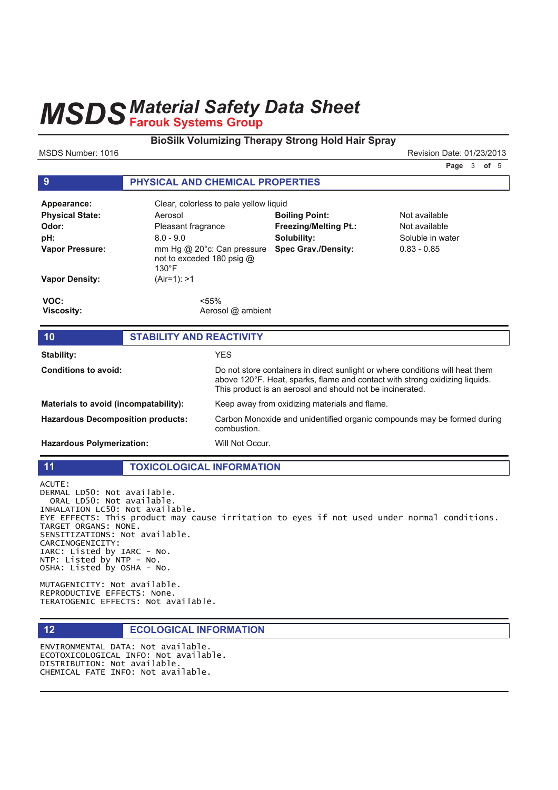## **BioSilk Volumizing Therapy Strong Hold Hair Spray**

MSDS Number: 1016 **Revision Date: 01/23/2013** Revision Date: 01/23/2013

**Page 3 of 5** 

## **9 PHYSICAL AND CHEMICAL PROPERTIES**

| Appearance:               | Clear, colorless to pale yellow liquid                                     |                              |                  |  |
|---------------------------|----------------------------------------------------------------------------|------------------------------|------------------|--|
| <b>Physical State:</b>    | Aerosol                                                                    | <b>Boiling Point:</b>        | Not available    |  |
| Odor:                     | Pleasant fragrance                                                         | <b>Freezing/Melting Pt.:</b> | Not available    |  |
| pH:                       | $8.0 - 9.0$                                                                | Solubility:                  | Soluble in water |  |
| <b>Vapor Pressure:</b>    | mm Hg @ 20°c: Can pressure<br>not to exceded 180 psig @<br>$130^{\circ}$ F | <b>Spec Grav./Density:</b>   | $0.83 - 0.85$    |  |
| <b>Vapor Density:</b>     | (Air=1): >1                                                                |                              |                  |  |
| VOC:<br><b>Viscosity:</b> | $< 55\%$<br>Aerosol @ ambient                                              |                              |                  |  |
| 10                        | <b>STABILITY AND REACTIVITY</b>                                            |                              |                  |  |
|                           |                                                                            |                              |                  |  |
| Stability:                | <b>YES</b>                                                                 |                              |                  |  |

| <b>Conditions to avoid:</b>              | Do not store containers in direct sunlight or where conditions will heat them<br>above 120°F. Heat, sparks, flame and contact with strong oxidizing liquids.<br>This product is an aerosol and should not be incinerated. |
|------------------------------------------|---------------------------------------------------------------------------------------------------------------------------------------------------------------------------------------------------------------------------|
| Materials to avoid (incompatability):    | Keep away from oxidizing materials and flame.                                                                                                                                                                             |
| <b>Hazardous Decomposition products:</b> | Carbon Monoxide and unidentified organic compounds may be formed during<br>combustion.                                                                                                                                    |
| <b>Hazardous Polymerization:</b>         | Will Not Occur.                                                                                                                                                                                                           |

# **11 TOXICOLOGICAL INFORMATION**

ACUTE: DERMAL LD50: Not available. ORAL LD50: Not available. INHALATION LC50: Not available. EYE EFFECTS: This product may cause irritation to eyes if not used under normal conditions. TARGET ORGANS: NONE. SENSITIZATIONS: Not available. CARCINOGENICITY: IARC: Listed by IARC - No. NTP: Listed by  $NTP - NO$ . OSHA: Listed by OSHA - No.

MUTAGENICITY: Not available. REPRODUCTIVE EFFECTS: None. TERATOGENIC EFFECTS: Not available.

**12 ECOLOGICAL INFORMATION** 

ENVIRONMENTAL DATA: Not available. ECOTOXICOLOGICAL INFO: Not available. DISTRIBUTION: Not available. CHEMICAL FATE INFO: Not available.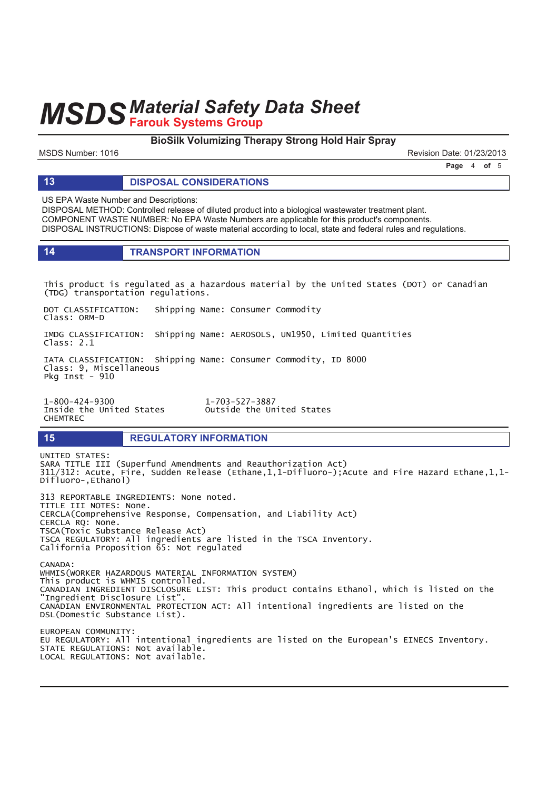## **BioSilk Volumizing Therapy Strong Hold Hair Spray**

MSDS Number: 1016 Revision Date: 01/23/2013

**Page 4 of 5** 

#### **13 DISPOSAL CONSIDERATIONS**

US EPA Waste Number and Descriptions:

DISPOSAL METHOD: Controlled release of diluted product into a biological wastewater treatment plant. COMPONENT WASTE NUMBER: No EPA Waste Numbers are applicable for this product's components. DISPOSAL INSTRUCTIONS: Dispose of waste material according to local, state and federal rules and regulations.

| <b>TRANSPORT INFORMATION</b> |
|------------------------------|
|------------------------------|

This product is regulated as a hazardous material by the United States (DOT) or Canadian (TDG) transportation regulations.

DOT CLASSIFICATION: Shipping Name: Consumer Commodity Class: ORM-D

IMDG CLASSIFICATION: Shipping Name: AEROSOLS, UN1950, Limited Quantities Class: 2.1

IATA CLASSIFICATION: Shipping Name: Consumer Commodity, ID 8000 Class: 9, Miscellaneous Pka Inst $-910$ 

Inside the United States **CHEMTREC** 

1-800-424-9300 1-703-527-3887<br>Inside the United States 0utside the United States

#### **15 REGULATORY INFORMATION**

UNITED STATES: SARA TITLE III (Superfund Amendments and Reauthorization Act) 311/312: Acute, Fire, Sudden Release (Ethane,1,1-Difluoro-);Acute and Fire Hazard Ethane,1,1- $-$ Difluoro-, Ethanol) 313 REPORTABLE INGREDIENTS: None noted.

TITLE III NOTES: None. CERCLA(Comprehensive Response, Compensation, and Liability Act) CERCLA RQ: None. TSCA(Toxic Substance Release Act) TSCA REGULATORY: All ingredients are listed in the TSCA Inventory. California Proposition 65: Not regulated

 $CANADA$ : WHMIS(WORKER HAZARDOUS MATERIAL INFORMATION SYSTEM) This product is WHMIS controlled. CANADIAN INGREDIENT DISCLOSURE LIST: This product contains Ethanol, which is listed on the "Ingredient Disclosure List". CANADIAN ENVIRONMENTAL PROTECTION ACT: All intentional ingredients are listed on the DSL(Domestic Substance List). EUROPEAN COMMUNITY

EU REGULATORY: All intentional ingredients are listed on the European's EINECS Inventory. STATE REGULATIONS: Not available. LOCAL REGULATIONS: Not available.